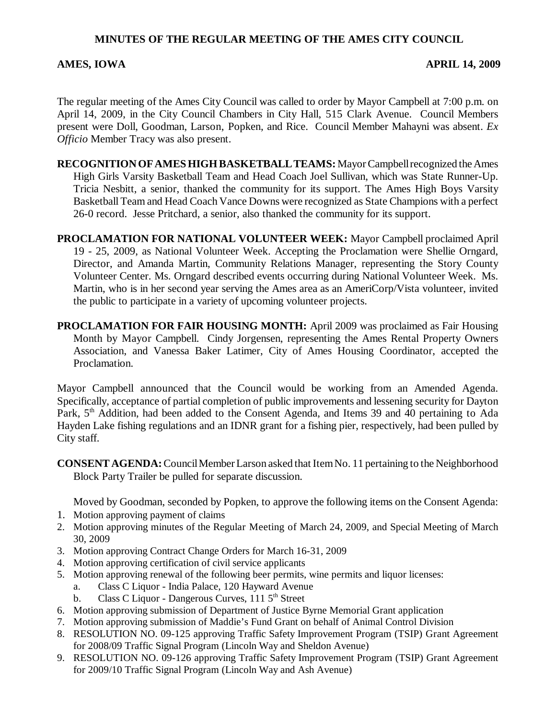## **MINUTES OF THE REGULAR MEETING OF THE AMES CITY COUNCIL**

## **AMES, IOWA APRIL 14, 2009**

The regular meeting of the Ames City Council was called to order by Mayor Campbell at 7:00 p.m. on April 14, 2009, in the City Council Chambers in City Hall, 515 Clark Avenue. Council Members present were Doll, Goodman, Larson, Popken, and Rice. Council Member Mahayni was absent. *Ex Officio* Member Tracy was also present.

- **RECOGNITION OF AMES HIGH BASKETBALL TEAMS:** Mayor Campbell recognized the Ames High Girls Varsity Basketball Team and Head Coach Joel Sullivan, which was State Runner-Up. Tricia Nesbitt, a senior, thanked the community for its support. The Ames High Boys Varsity Basketball Team and Head Coach Vance Downs were recognized as State Champions with a perfect 26-0 record. Jesse Pritchard, a senior, also thanked the community for its support.
- **PROCLAMATION FOR NATIONAL VOLUNTEER WEEK:** Mayor Campbell proclaimed April 19 - 25, 2009, as National Volunteer Week. Accepting the Proclamation were Shellie Orngard, Director, and Amanda Martin, Community Relations Manager, representing the Story County Volunteer Center. Ms. Orngard described events occurring during National Volunteer Week. Ms. Martin, who is in her second year serving the Ames area as an AmeriCorp/Vista volunteer, invited the public to participate in a variety of upcoming volunteer projects.
- **PROCLAMATION FOR FAIR HOUSING MONTH:** April 2009 was proclaimed as Fair Housing Month by Mayor Campbell. Cindy Jorgensen, representing the Ames Rental Property Owners Association, and Vanessa Baker Latimer, City of Ames Housing Coordinator, accepted the Proclamation.

Mayor Campbell announced that the Council would be working from an Amended Agenda. Specifically, acceptance of partial completion of public improvements and lessening security for Dayton Park, 5<sup>th</sup> Addition, had been added to the Consent Agenda, and Items 39 and 40 pertaining to Ada Hayden Lake fishing regulations and an IDNR grant for a fishing pier, respectively, had been pulled by City staff.

**CONSENT AGENDA:** Council Member Larson asked that Item No. 11 pertaining to the Neighborhood Block Party Trailer be pulled for separate discussion.

Moved by Goodman, seconded by Popken, to approve the following items on the Consent Agenda:

- 1. Motion approving payment of claims
- 2. Motion approving minutes of the Regular Meeting of March 24, 2009, and Special Meeting of March 30, 2009
- 3. Motion approving Contract Change Orders for March 16-31, 2009
- 4. Motion approving certification of civil service applicants
- 5. Motion approving renewal of the following beer permits, wine permits and liquor licenses:
	- a. Class C Liquor India Palace, 120 Hayward Avenue
	- b. Class C Liquor Dangerous Curves,  $1115<sup>th</sup>$  Street
- 6. Motion approving submission of Department of Justice Byrne Memorial Grant application
- 7. Motion approving submission of Maddie's Fund Grant on behalf of Animal Control Division
- 8. RESOLUTION NO. 09-125 approving Traffic Safety Improvement Program (TSIP) Grant Agreement for 2008/09 Traffic Signal Program (Lincoln Way and Sheldon Avenue)
- 9. RESOLUTION NO. 09-126 approving Traffic Safety Improvement Program (TSIP) Grant Agreement for 2009/10 Traffic Signal Program (Lincoln Way and Ash Avenue)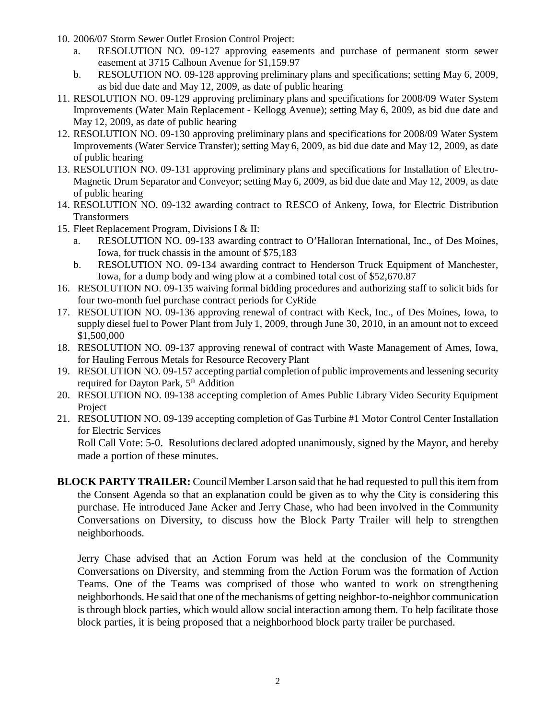- 10. 2006/07 Storm Sewer Outlet Erosion Control Project:
	- a. RESOLUTION NO. 09-127 approving easements and purchase of permanent storm sewer easement at 3715 Calhoun Avenue for \$1,159.97
	- b. RESOLUTION NO. 09-128 approving preliminary plans and specifications; setting May 6, 2009, as bid due date and May 12, 2009, as date of public hearing
- 11. RESOLUTION NO. 09-129 approving preliminary plans and specifications for 2008/09 Water System Improvements (Water Main Replacement - Kellogg Avenue); setting May 6, 2009, as bid due date and May 12, 2009, as date of public hearing
- 12. RESOLUTION NO. 09-130 approving preliminary plans and specifications for 2008/09 Water System Improvements (Water Service Transfer); setting May 6, 2009, as bid due date and May 12, 2009, as date of public hearing
- 13. RESOLUTION NO. 09-131 approving preliminary plans and specifications for Installation of Electro-Magnetic Drum Separator and Conveyor; setting May 6, 2009, as bid due date and May 12, 2009, as date of public hearing
- 14. RESOLUTION NO. 09-132 awarding contract to RESCO of Ankeny, Iowa, for Electric Distribution Transformers
- 15. Fleet Replacement Program, Divisions I & II:
	- a. RESOLUTION NO. 09-133 awarding contract to O'Halloran International, Inc., of Des Moines, Iowa, for truck chassis in the amount of \$75,183
	- b. RESOLUTION NO. 09-134 awarding contract to Henderson Truck Equipment of Manchester, Iowa, for a dump body and wing plow at a combined total cost of \$52,670.87
- 16. RESOLUTION NO. 09-135 waiving formal bidding procedures and authorizing staff to solicit bids for four two-month fuel purchase contract periods for CyRide
- 17. RESOLUTION NO. 09-136 approving renewal of contract with Keck, Inc., of Des Moines, Iowa, to supply diesel fuel to Power Plant from July 1, 2009, through June 30, 2010, in an amount not to exceed \$1,500,000
- 18. RESOLUTION NO. 09-137 approving renewal of contract with Waste Management of Ames, Iowa, for Hauling Ferrous Metals for Resource Recovery Plant
- 19. RESOLUTION NO. 09-157 accepting partial completion of public improvements and lessening security required for Dayton Park, 5<sup>th</sup> Addition
- 20. RESOLUTION NO. 09-138 accepting completion of Ames Public Library Video Security Equipment Project
- 21. RESOLUTION NO. 09-139 accepting completion of Gas Turbine #1 Motor Control Center Installation for Electric Services

Roll Call Vote: 5-0. Resolutions declared adopted unanimously, signed by the Mayor, and hereby made a portion of these minutes.

**BLOCK PARTY TRAILER:** Council Member Larson said that he had requested to pull this item from the Consent Agenda so that an explanation could be given as to why the City is considering this purchase. He introduced Jane Acker and Jerry Chase, who had been involved in the Community Conversations on Diversity, to discuss how the Block Party Trailer will help to strengthen neighborhoods.

Jerry Chase advised that an Action Forum was held at the conclusion of the Community Conversations on Diversity, and stemming from the Action Forum was the formation of Action Teams. One of the Teams was comprised of those who wanted to work on strengthening neighborhoods. He said that one of the mechanisms of getting neighbor-to-neighbor communication is through block parties, which would allow social interaction among them. To help facilitate those block parties, it is being proposed that a neighborhood block party trailer be purchased.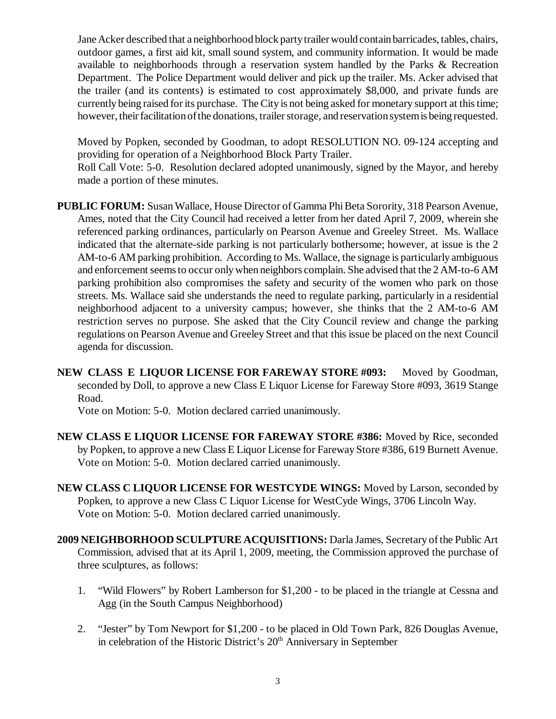Jane Acker described that a neighborhood block party trailer would contain barricades, tables, chairs, outdoor games, a first aid kit, small sound system, and community information. It would be made available to neighborhoods through a reservation system handled by the Parks & Recreation Department. The Police Department would deliver and pick up the trailer. Ms. Acker advised that the trailer (and its contents) is estimated to cost approximately \$8,000, and private funds are currently being raised for its purchase. The City is not being asked for monetary support at this time; however, their facilitation of the donations, trailer storage, and reservation system is being requested.

Moved by Popken, seconded by Goodman, to adopt RESOLUTION NO. 09-124 accepting and providing for operation of a Neighborhood Block Party Trailer.

Roll Call Vote: 5-0. Resolution declared adopted unanimously, signed by the Mayor, and hereby made a portion of these minutes.

- **PUBLIC FORUM:** Susan Wallace, House Director of Gamma Phi Beta Sorority, 318 Pearson Avenue, Ames, noted that the City Council had received a letter from her dated April 7, 2009, wherein she referenced parking ordinances, particularly on Pearson Avenue and Greeley Street. Ms. Wallace indicated that the alternate-side parking is not particularly bothersome; however, at issue is the 2 AM-to-6 AM parking prohibition. According to Ms. Wallace, the signage is particularly ambiguous and enforcement seems to occur only when neighbors complain. She advised that the 2 AM-to-6 AM parking prohibition also compromises the safety and security of the women who park on those streets. Ms. Wallace said she understands the need to regulate parking, particularly in a residential neighborhood adjacent to a university campus; however, she thinks that the 2 AM-to-6 AM restriction serves no purpose. She asked that the City Council review and change the parking regulations on Pearson Avenue and Greeley Street and that this issue be placed on the next Council agenda for discussion.
- **NEW CLASS E LIQUOR LICENSE FOR FAREWAY STORE #093:** Moved by Goodman, seconded by Doll, to approve a new Class E Liquor License for Fareway Store #093, 3619 Stange Road.

Vote on Motion: 5-0. Motion declared carried unanimously.

- **NEW CLASS E LIQUOR LICENSE FOR FAREWAY STORE #386:** Moved by Rice, seconded by Popken, to approve a new Class E Liquor License for Fareway Store #386, 619 Burnett Avenue. Vote on Motion: 5-0. Motion declared carried unanimously.
- **NEW CLASS C LIQUOR LICENSE FOR WESTCYDE WINGS:** Moved by Larson, seconded by Popken, to approve a new Class C Liquor License for WestCyde Wings, 3706 Lincoln Way. Vote on Motion: 5-0. Motion declared carried unanimously.
- **2009 NEIGHBORHOOD SCULPTURE ACQUISITIONS:** Darla James, Secretary of the Public Art Commission, advised that at its April 1, 2009, meeting, the Commission approved the purchase of three sculptures, as follows:
	- 1. "Wild Flowers" by Robert Lamberson for \$1,200 to be placed in the triangle at Cessna and Agg (in the South Campus Neighborhood)
	- 2. "Jester" by Tom Newport for \$1,200 to be placed in Old Town Park, 826 Douglas Avenue, in celebration of the Historic District's 20<sup>th</sup> Anniversary in September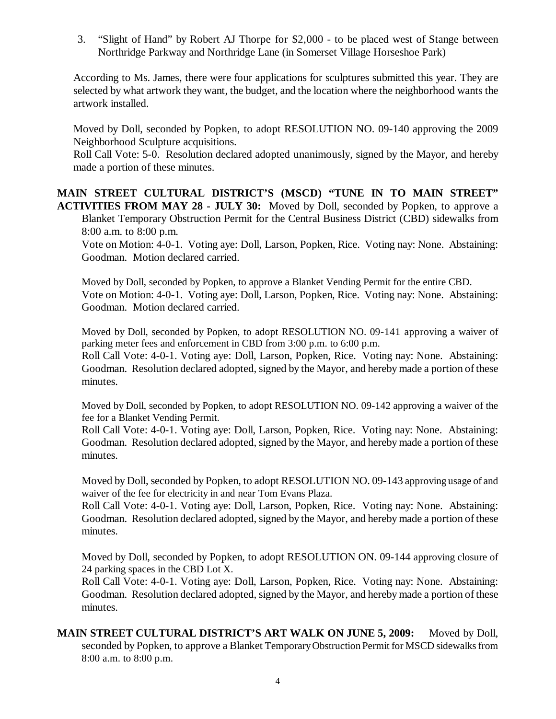3. "Slight of Hand" by Robert AJ Thorpe for \$2,000 - to be placed west of Stange between Northridge Parkway and Northridge Lane (in Somerset Village Horseshoe Park)

According to Ms. James, there were four applications for sculptures submitted this year. They are selected by what artwork they want, the budget, and the location where the neighborhood wants the artwork installed.

Moved by Doll, seconded by Popken, to adopt RESOLUTION NO. 09-140 approving the 2009 Neighborhood Sculpture acquisitions.

Roll Call Vote: 5-0. Resolution declared adopted unanimously, signed by the Mayor, and hereby made a portion of these minutes.

**MAIN STREET CULTURAL DISTRICT'S (MSCD) "TUNE IN TO MAIN STREET" ACTIVITIES FROM MAY 28 - JULY 30:** Moved by Doll, seconded by Popken, to approve a Blanket Temporary Obstruction Permit for the Central Business District (CBD) sidewalks from 8:00 a.m. to 8:00 p.m.

Vote on Motion: 4-0-1. Voting aye: Doll, Larson, Popken, Rice. Voting nay: None. Abstaining: Goodman. Motion declared carried.

Moved by Doll, seconded by Popken, to approve a Blanket Vending Permit for the entire CBD. Vote on Motion: 4-0-1. Voting aye: Doll, Larson, Popken, Rice. Voting nay: None. Abstaining: Goodman. Motion declared carried.

Moved by Doll, seconded by Popken, to adopt RESOLUTION NO. 09-141 approving a waiver of parking meter fees and enforcement in CBD from 3:00 p.m. to 6:00 p.m.

Roll Call Vote: 4-0-1. Voting aye: Doll, Larson, Popken, Rice. Voting nay: None. Abstaining: Goodman. Resolution declared adopted, signed by the Mayor, and hereby made a portion of these minutes.

Moved by Doll, seconded by Popken, to adopt RESOLUTION NO. 09-142 approving a waiver of the fee for a Blanket Vending Permit.

Roll Call Vote: 4-0-1. Voting aye: Doll, Larson, Popken, Rice. Voting nay: None. Abstaining: Goodman. Resolution declared adopted, signed by the Mayor, and hereby made a portion of these minutes.

Moved by Doll, seconded by Popken, to adopt RESOLUTION NO. 09-143 approving usage of and waiver of the fee for electricity in and near Tom Evans Plaza.

Roll Call Vote: 4-0-1. Voting aye: Doll, Larson, Popken, Rice. Voting nay: None. Abstaining: Goodman. Resolution declared adopted, signed by the Mayor, and hereby made a portion of these minutes.

Moved by Doll, seconded by Popken, to adopt RESOLUTION ON. 09-144 approving closure of 24 parking spaces in the CBD Lot X.

Roll Call Vote: 4-0-1. Voting aye: Doll, Larson, Popken, Rice. Voting nay: None. Abstaining: Goodman. Resolution declared adopted, signed by the Mayor, and hereby made a portion of these minutes.

**MAIN STREET CULTURAL DISTRICT'S ART WALK ON JUNE 5, 2009:** Moved by Doll, seconded by Popken, to approve a Blanket Temporary Obstruction Permit for MSCD sidewalks from 8:00 a.m. to 8:00 p.m.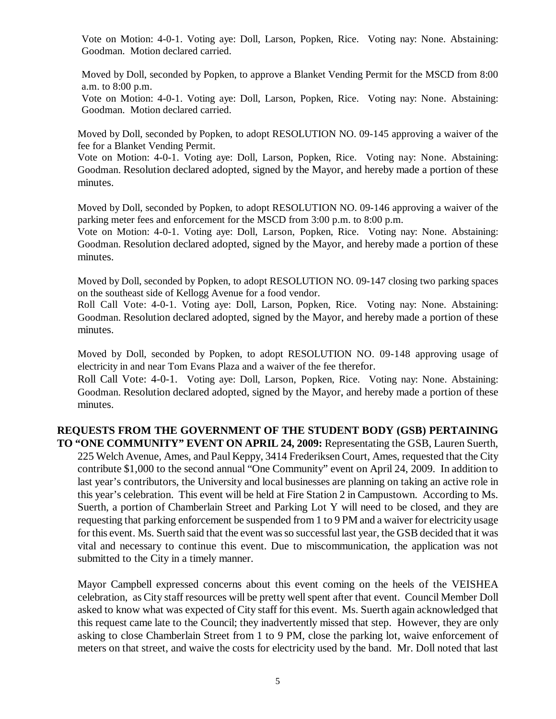Vote on Motion: 4-0-1. Voting aye: Doll, Larson, Popken, Rice. Voting nay: None. Abstaining: Goodman. Motion declared carried.

Moved by Doll, seconded by Popken, to approve a Blanket Vending Permit for the MSCD from 8:00 a.m. to 8:00 p.m.

Vote on Motion: 4-0-1. Voting aye: Doll, Larson, Popken, Rice. Voting nay: None. Abstaining: Goodman. Motion declared carried.

Moved by Doll, seconded by Popken, to adopt RESOLUTION NO. 09-145 approving a waiver of the fee for a Blanket Vending Permit.

Vote on Motion: 4-0-1. Voting aye: Doll, Larson, Popken, Rice. Voting nay: None. Abstaining: Goodman. Resolution declared adopted, signed by the Mayor, and hereby made a portion of these minutes.

Moved by Doll, seconded by Popken, to adopt RESOLUTION NO. 09-146 approving a waiver of the parking meter fees and enforcement for the MSCD from 3:00 p.m. to 8:00 p.m.

Vote on Motion: 4-0-1. Voting aye: Doll, Larson, Popken, Rice. Voting nay: None. Abstaining: Goodman. Resolution declared adopted, signed by the Mayor, and hereby made a portion of these minutes.

Moved by Doll, seconded by Popken, to adopt RESOLUTION NO. 09-147 closing two parking spaces on the southeast side of Kellogg Avenue for a food vendor.

Roll Call Vote: 4-0-1. Voting aye: Doll, Larson, Popken, Rice. Voting nay: None. Abstaining: Goodman. Resolution declared adopted, signed by the Mayor, and hereby made a portion of these minutes.

Moved by Doll, seconded by Popken, to adopt RESOLUTION NO. 09-148 approving usage of electricity in and near Tom Evans Plaza and a waiver of the fee therefor.

Roll Call Vote: 4-0-1. Voting aye: Doll, Larson, Popken, Rice. Voting nay: None. Abstaining: Goodman. Resolution declared adopted, signed by the Mayor, and hereby made a portion of these minutes.

## **REQUESTS FROM THE GOVERNMENT OF THE STUDENT BODY (GSB) PERTAINING**

**TO "ONE COMMUNITY" EVENT ON APRIL 24, 2009:** Representating the GSB, Lauren Suerth, 225 Welch Avenue, Ames, and Paul Keppy, 3414 Frederiksen Court, Ames, requested that the City contribute \$1,000 to the second annual "One Community" event on April 24, 2009. In addition to last year's contributors, the University and local businesses are planning on taking an active role in this year's celebration. This event will be held at Fire Station 2 in Campustown. According to Ms. Suerth, a portion of Chamberlain Street and Parking Lot Y will need to be closed, and they are requesting that parking enforcement be suspended from 1 to 9 PM and a waiver for electricity usage for this event. Ms. Suerth said that the event was so successful last year, the GSB decided that it was vital and necessary to continue this event. Due to miscommunication, the application was not submitted to the City in a timely manner.

Mayor Campbell expressed concerns about this event coming on the heels of the VEISHEA celebration, as City staff resources will be pretty well spent after that event. Council Member Doll asked to know what was expected of City staff for this event. Ms. Suerth again acknowledged that this request came late to the Council; they inadvertently missed that step. However, they are only asking to close Chamberlain Street from 1 to 9 PM, close the parking lot, waive enforcement of meters on that street, and waive the costs for electricity used by the band. Mr. Doll noted that last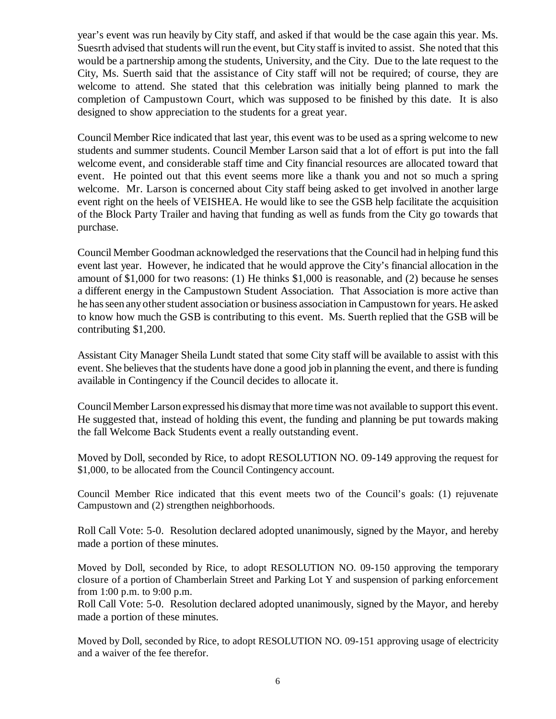year's event was run heavily by City staff, and asked if that would be the case again this year. Ms. Suesrth advised that students will run the event, but City staff is invited to assist. She noted that this would be a partnership among the students, University, and the City. Due to the late request to the City, Ms. Suerth said that the assistance of City staff will not be required; of course, they are welcome to attend. She stated that this celebration was initially being planned to mark the completion of Campustown Court, which was supposed to be finished by this date. It is also designed to show appreciation to the students for a great year.

Council Member Rice indicated that last year, this event was to be used as a spring welcome to new students and summer students. Council Member Larson said that a lot of effort is put into the fall welcome event, and considerable staff time and City financial resources are allocated toward that event. He pointed out that this event seems more like a thank you and not so much a spring welcome. Mr. Larson is concerned about City staff being asked to get involved in another large event right on the heels of VEISHEA. He would like to see the GSB help facilitate the acquisition of the Block Party Trailer and having that funding as well as funds from the City go towards that purchase.

Council Member Goodman acknowledged the reservations that the Council had in helping fund this event last year. However, he indicated that he would approve the City's financial allocation in the amount of \$1,000 for two reasons: (1) He thinks \$1,000 is reasonable, and (2) because he senses a different energy in the Campustown Student Association. That Association is more active than he has seen any other student association or business association in Campustown for years. He asked to know how much the GSB is contributing to this event. Ms. Suerth replied that the GSB will be contributing \$1,200.

Assistant City Manager Sheila Lundt stated that some City staff will be available to assist with this event. She believes that the students have done a good job in planning the event, and there is funding available in Contingency if the Council decides to allocate it.

Council Member Larson expressed his dismay that more time was not available to support this event. He suggested that, instead of holding this event, the funding and planning be put towards making the fall Welcome Back Students event a really outstanding event.

Moved by Doll, seconded by Rice, to adopt RESOLUTION NO. 09-149 approving the request for \$1,000, to be allocated from the Council Contingency account.

Council Member Rice indicated that this event meets two of the Council's goals: (1) rejuvenate Campustown and (2) strengthen neighborhoods.

Roll Call Vote: 5-0. Resolution declared adopted unanimously, signed by the Mayor, and hereby made a portion of these minutes.

Moved by Doll, seconded by Rice, to adopt RESOLUTION NO. 09-150 approving the temporary closure of a portion of Chamberlain Street and Parking Lot Y and suspension of parking enforcement from 1:00 p.m. to 9:00 p.m.

Roll Call Vote: 5-0. Resolution declared adopted unanimously, signed by the Mayor, and hereby made a portion of these minutes.

Moved by Doll, seconded by Rice, to adopt RESOLUTION NO. 09-151 approving usage of electricity and a waiver of the fee therefor.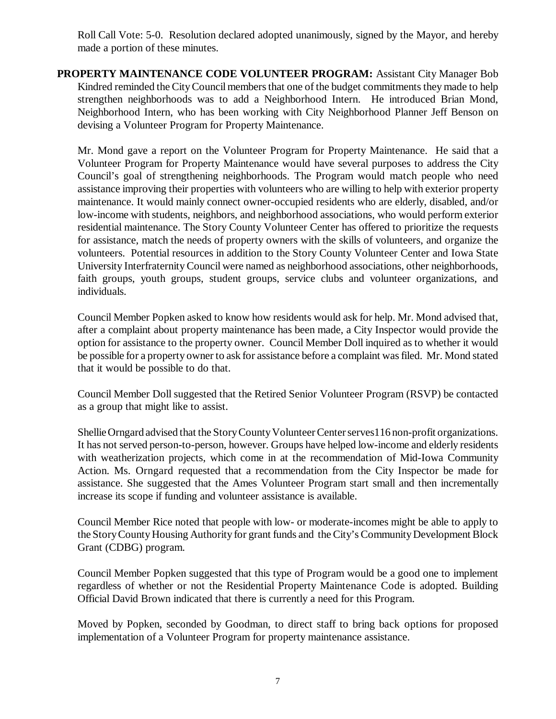Roll Call Vote: 5-0. Resolution declared adopted unanimously, signed by the Mayor, and hereby made a portion of these minutes.

**PROPERTY MAINTENANCE CODE VOLUNTEER PROGRAM:** Assistant City Manager Bob Kindred reminded the City Council members that one of the budget commitments they made to help strengthen neighborhoods was to add a Neighborhood Intern. He introduced Brian Mond, Neighborhood Intern, who has been working with City Neighborhood Planner Jeff Benson on devising a Volunteer Program for Property Maintenance.

Mr. Mond gave a report on the Volunteer Program for Property Maintenance. He said that a Volunteer Program for Property Maintenance would have several purposes to address the City Council's goal of strengthening neighborhoods. The Program would match people who need assistance improving their properties with volunteers who are willing to help with exterior property maintenance. It would mainly connect owner-occupied residents who are elderly, disabled, and/or low-income with students, neighbors, and neighborhood associations, who would perform exterior residential maintenance. The Story County Volunteer Center has offered to prioritize the requests for assistance, match the needs of property owners with the skills of volunteers, and organize the volunteers. Potential resources in addition to the Story County Volunteer Center and Iowa State University Interfraternity Council were named as neighborhood associations, other neighborhoods, faith groups, youth groups, student groups, service clubs and volunteer organizations, and individuals.

Council Member Popken asked to know how residents would ask for help. Mr. Mond advised that, after a complaint about property maintenance has been made, a City Inspector would provide the option for assistance to the property owner. Council Member Doll inquired as to whether it would be possible for a property owner to ask for assistance before a complaint was filed. Mr. Mond stated that it would be possible to do that.

Council Member Doll suggested that the Retired Senior Volunteer Program (RSVP) be contacted as a group that might like to assist.

Shellie Orngard advised that the Story County Volunteer Center serves116 non-profit organizations. It has not served person-to-person, however. Groups have helped low-income and elderly residents with weatherization projects, which come in at the recommendation of Mid-Iowa Community Action. Ms. Orngard requested that a recommendation from the City Inspector be made for assistance. She suggested that the Ames Volunteer Program start small and then incrementally increase its scope if funding and volunteer assistance is available.

Council Member Rice noted that people with low- or moderate-incomes might be able to apply to the Story County Housing Authority for grant funds and the City's Community Development Block Grant (CDBG) program.

Council Member Popken suggested that this type of Program would be a good one to implement regardless of whether or not the Residential Property Maintenance Code is adopted. Building Official David Brown indicated that there is currently a need for this Program.

Moved by Popken, seconded by Goodman, to direct staff to bring back options for proposed implementation of a Volunteer Program for property maintenance assistance.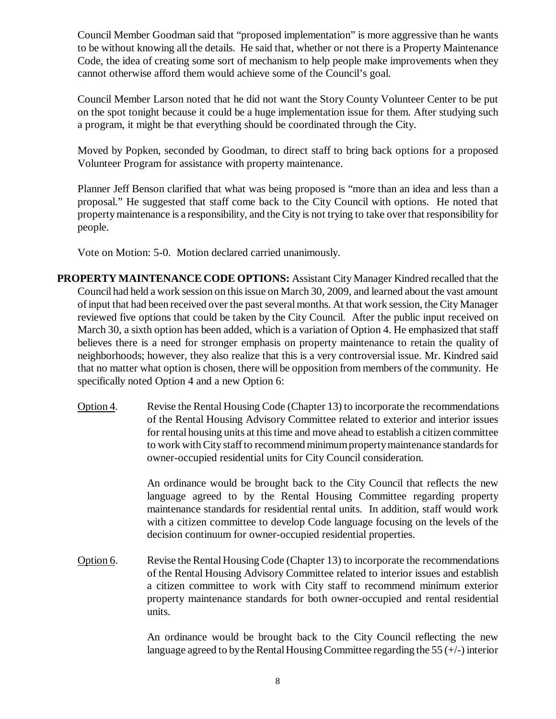Council Member Goodman said that "proposed implementation" is more aggressive than he wants to be without knowing all the details. He said that, whether or not there is a Property Maintenance Code, the idea of creating some sort of mechanism to help people make improvements when they cannot otherwise afford them would achieve some of the Council's goal.

Council Member Larson noted that he did not want the Story County Volunteer Center to be put on the spot tonight because it could be a huge implementation issue for them. After studying such a program, it might be that everything should be coordinated through the City.

Moved by Popken, seconded by Goodman, to direct staff to bring back options for a proposed Volunteer Program for assistance with property maintenance.

Planner Jeff Benson clarified that what was being proposed is "more than an idea and less than a proposal." He suggested that staff come back to the City Council with options. He noted that property maintenance is a responsibility, and the City is not trying to take over that responsibility for people.

Vote on Motion: 5-0. Motion declared carried unanimously.

- **PROPERTY MAINTENANCE CODE OPTIONS:** Assistant City Manager Kindred recalled that the Council had held a work session on this issue on March 30, 2009, and learned about the vast amount of input that had been received over the past several months. At that work session, the City Manager reviewed five options that could be taken by the City Council. After the public input received on March 30, a sixth option has been added, which is a variation of Option 4. He emphasized that staff believes there is a need for stronger emphasis on property maintenance to retain the quality of neighborhoods; however, they also realize that this is a very controversial issue. Mr. Kindred said that no matter what option is chosen, there will be opposition from members of the community. He specifically noted Option 4 and a new Option 6:
	- Option 4. Revise the Rental Housing Code (Chapter 13) to incorporate the recommendations of the Rental Housing Advisory Committee related to exterior and interior issues for rental housing units at this time and move ahead to establish a citizen committee to work with City staff to recommend minimum property maintenance standards for owner-occupied residential units for City Council consideration.

An ordinance would be brought back to the City Council that reflects the new language agreed to by the Rental Housing Committee regarding property maintenance standards for residential rental units. In addition, staff would work with a citizen committee to develop Code language focusing on the levels of the decision continuum for owner-occupied residential properties.

Option 6. Revise the Rental Housing Code (Chapter 13) to incorporate the recommendations of the Rental Housing Advisory Committee related to interior issues and establish a citizen committee to work with City staff to recommend minimum exterior property maintenance standards for both owner-occupied and rental residential units.

> An ordinance would be brought back to the City Council reflecting the new language agreed to by the Rental Housing Committee regarding the  $55 (+/-)$  interior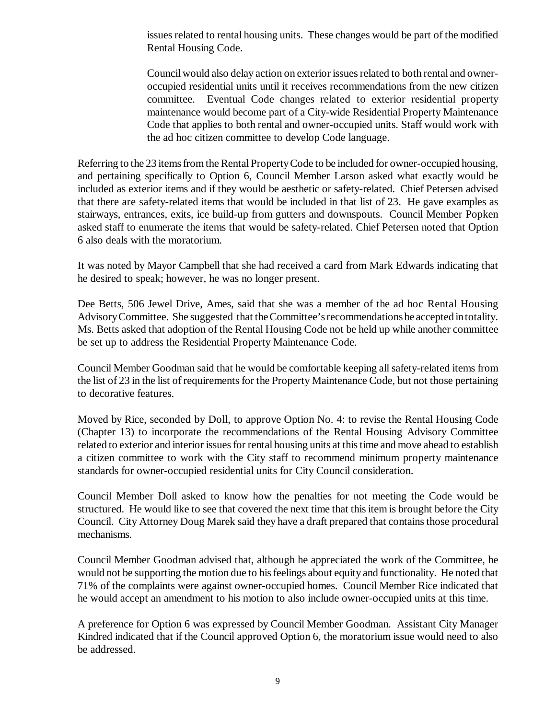issues related to rental housing units. These changes would be part of the modified Rental Housing Code.

Council would also delay action on exterior issues related to both rental and owneroccupied residential units until it receives recommendations from the new citizen committee. Eventual Code changes related to exterior residential property maintenance would become part of a City-wide Residential Property Maintenance Code that applies to both rental and owner-occupied units. Staff would work with the ad hoc citizen committee to develop Code language.

Referring to the 23 items from the Rental Property Code to be included for owner-occupied housing, and pertaining specifically to Option 6, Council Member Larson asked what exactly would be included as exterior items and if they would be aesthetic or safety-related. Chief Petersen advised that there are safety-related items that would be included in that list of 23. He gave examples as stairways, entrances, exits, ice build-up from gutters and downspouts. Council Member Popken asked staff to enumerate the items that would be safety-related. Chief Petersen noted that Option 6 also deals with the moratorium.

It was noted by Mayor Campbell that she had received a card from Mark Edwards indicating that he desired to speak; however, he was no longer present.

Dee Betts, 506 Jewel Drive, Ames, said that she was a member of the ad hoc Rental Housing Advisory Committee. She suggested that the Committee's recommendations be accepted in totality. Ms. Betts asked that adoption of the Rental Housing Code not be held up while another committee be set up to address the Residential Property Maintenance Code.

Council Member Goodman said that he would be comfortable keeping all safety-related items from the list of 23 in the list of requirements for the Property Maintenance Code, but not those pertaining to decorative features.

Moved by Rice, seconded by Doll, to approve Option No. 4: to revise the Rental Housing Code (Chapter 13) to incorporate the recommendations of the Rental Housing Advisory Committee related to exterior and interior issues for rental housing units at this time and move ahead to establish a citizen committee to work with the City staff to recommend minimum property maintenance standards for owner-occupied residential units for City Council consideration.

Council Member Doll asked to know how the penalties for not meeting the Code would be structured. He would like to see that covered the next time that this item is brought before the City Council. City Attorney Doug Marek said they have a draft prepared that contains those procedural mechanisms.

Council Member Goodman advised that, although he appreciated the work of the Committee, he would not be supporting the motion due to his feelings about equity and functionality. He noted that 71% of the complaints were against owner-occupied homes. Council Member Rice indicated that he would accept an amendment to his motion to also include owner-occupied units at this time.

A preference for Option 6 was expressed by Council Member Goodman. Assistant City Manager Kindred indicated that if the Council approved Option 6, the moratorium issue would need to also be addressed.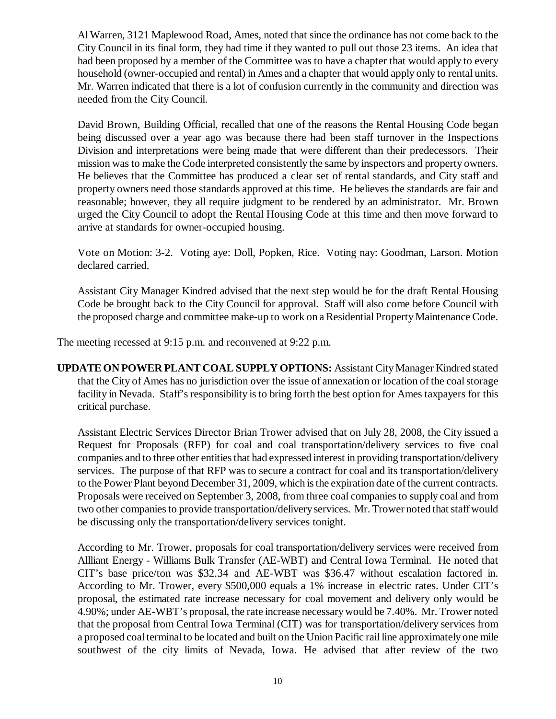Al Warren, 3121 Maplewood Road, Ames, noted that since the ordinance has not come back to the City Council in its final form, they had time if they wanted to pull out those 23 items. An idea that had been proposed by a member of the Committee was to have a chapter that would apply to every household (owner-occupied and rental) in Ames and a chapter that would apply only to rental units. Mr. Warren indicated that there is a lot of confusion currently in the community and direction was needed from the City Council.

David Brown, Building Official, recalled that one of the reasons the Rental Housing Code began being discussed over a year ago was because there had been staff turnover in the Inspections Division and interpretations were being made that were different than their predecessors. Their mission was to make the Code interpreted consistently the same by inspectors and property owners. He believes that the Committee has produced a clear set of rental standards, and City staff and property owners need those standards approved at this time. He believes the standards are fair and reasonable; however, they all require judgment to be rendered by an administrator. Mr. Brown urged the City Council to adopt the Rental Housing Code at this time and then move forward to arrive at standards for owner-occupied housing.

Vote on Motion: 3-2. Voting aye: Doll, Popken, Rice. Voting nay: Goodman, Larson. Motion declared carried.

Assistant City Manager Kindred advised that the next step would be for the draft Rental Housing Code be brought back to the City Council for approval. Staff will also come before Council with the proposed charge and committee make-up to work on a Residential Property Maintenance Code.

The meeting recessed at 9:15 p.m. and reconvened at 9:22 p.m.

**UPDATE ON POWER PLANT COAL SUPPLY OPTIONS:** Assistant City Manager Kindred stated that the City of Ames has no jurisdiction over the issue of annexation or location of the coal storage facility in Nevada. Staff's responsibility is to bring forth the best option for Ames taxpayers for this critical purchase.

Assistant Electric Services Director Brian Trower advised that on July 28, 2008, the City issued a Request for Proposals (RFP) for coal and coal transportation/delivery services to five coal companies and to three other entities that had expressed interest in providing transportation/delivery services. The purpose of that RFP was to secure a contract for coal and its transportation/delivery to the Power Plant beyond December 31, 2009, which is the expiration date of the current contracts. Proposals were received on September 3, 2008, from three coal companies to supply coal and from two other companies to provide transportation/delivery services. Mr. Trower noted that staff would be discussing only the transportation/delivery services tonight.

According to Mr. Trower, proposals for coal transportation/delivery services were received from Allliant Energy - Williams Bulk Transfer (AE-WBT) and Central Iowa Terminal. He noted that CIT's base price/ton was \$32.34 and AE-WBT was \$36.47 without escalation factored in. According to Mr. Trower, every \$500,000 equals a 1% increase in electric rates. Under CIT's proposal, the estimated rate increase necessary for coal movement and delivery only would be 4.90%; under AE-WBT's proposal, the rate increase necessary would be 7.40%. Mr. Trower noted that the proposal from Central Iowa Terminal (CIT) was for transportation/delivery services from a proposed coal terminal to be located and built on the Union Pacific rail line approximately one mile southwest of the city limits of Nevada, Iowa. He advised that after review of the two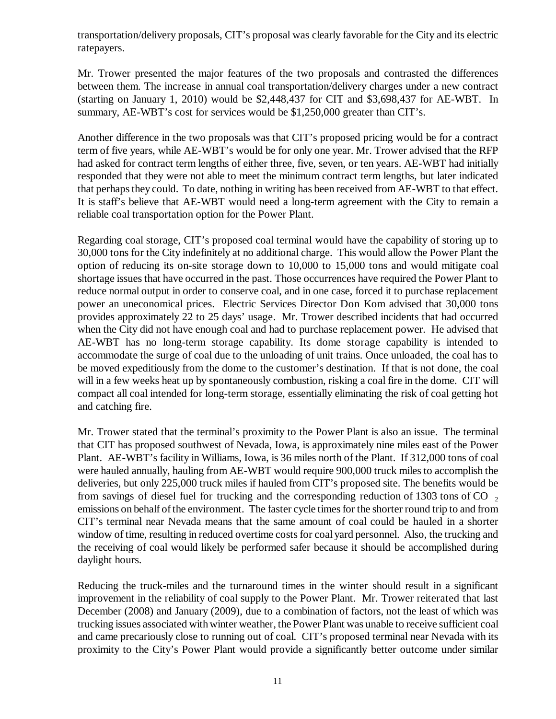transportation/delivery proposals, CIT's proposal was clearly favorable for the City and its electric ratepayers.

Mr. Trower presented the major features of the two proposals and contrasted the differences between them. The increase in annual coal transportation/delivery charges under a new contract (starting on January 1, 2010) would be \$2,448,437 for CIT and \$3,698,437 for AE-WBT. In summary, AE-WBT's cost for services would be \$1,250,000 greater than CIT's.

Another difference in the two proposals was that CIT's proposed pricing would be for a contract term of five years, while AE-WBT's would be for only one year. Mr. Trower advised that the RFP had asked for contract term lengths of either three, five, seven, or ten years. AE-WBT had initially responded that they were not able to meet the minimum contract term lengths, but later indicated that perhaps they could. To date, nothing in writing has been received from AE-WBT to that effect. It is staff's believe that AE-WBT would need a long-term agreement with the City to remain a reliable coal transportation option for the Power Plant.

Regarding coal storage, CIT's proposed coal terminal would have the capability of storing up to 30,000 tons for the City indefinitely at no additional charge. This would allow the Power Plant the option of reducing its on-site storage down to 10,000 to 15,000 tons and would mitigate coal shortage issues that have occurred in the past. Those occurrences have required the Power Plant to reduce normal output in order to conserve coal, and in one case, forced it to purchase replacement power an uneconomical prices. Electric Services Director Don Kom advised that 30,000 tons provides approximately 22 to 25 days' usage. Mr. Trower described incidents that had occurred when the City did not have enough coal and had to purchase replacement power. He advised that AE-WBT has no long-term storage capability. Its dome storage capability is intended to accommodate the surge of coal due to the unloading of unit trains. Once unloaded, the coal has to be moved expeditiously from the dome to the customer's destination. If that is not done, the coal will in a few weeks heat up by spontaneously combustion, risking a coal fire in the dome. CIT will compact all coal intended for long-term storage, essentially eliminating the risk of coal getting hot and catching fire.

Mr. Trower stated that the terminal's proximity to the Power Plant is also an issue. The terminal that CIT has proposed southwest of Nevada, Iowa, is approximately nine miles east of the Power Plant. AE-WBT's facility in Williams, Iowa, is 36 miles north of the Plant. If 312,000 tons of coal were hauled annually, hauling from AE-WBT would require 900,000 truck miles to accomplish the deliveries, but only 225,000 truck miles if hauled from CIT's proposed site. The benefits would be from savings of diesel fuel for trucking and the corresponding reduction of 1303 tons of  $CO<sub>2</sub>$ emissions on behalf of the environment. The faster cycle times for the shorter round trip to and from CIT's terminal near Nevada means that the same amount of coal could be hauled in a shorter window of time, resulting in reduced overtime costs for coal yard personnel. Also, the trucking and the receiving of coal would likely be performed safer because it should be accomplished during daylight hours.

Reducing the truck-miles and the turnaround times in the winter should result in a significant improvement in the reliability of coal supply to the Power Plant. Mr. Trower reiterated that last December (2008) and January (2009), due to a combination of factors, not the least of which was trucking issues associated with winter weather, the Power Plant was unable to receive sufficient coal and came precariously close to running out of coal. CIT's proposed terminal near Nevada with its proximity to the City's Power Plant would provide a significantly better outcome under similar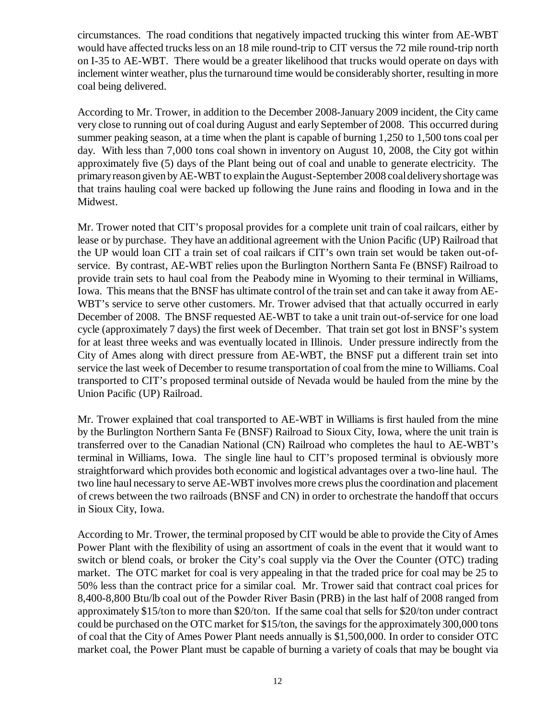circumstances. The road conditions that negatively impacted trucking this winter from AE-WBT would have affected trucks less on an 18 mile round-trip to CIT versus the 72 mile round-trip north on I-35 to AE-WBT. There would be a greater likelihood that trucks would operate on days with inclement winter weather, plus the turnaround time would be considerably shorter, resulting in more coal being delivered.

According to Mr. Trower, in addition to the December 2008-January 2009 incident, the City came very close to running out of coal during August and early September of 2008. This occurred during summer peaking season, at a time when the plant is capable of burning 1,250 to 1,500 tons coal per day. With less than 7,000 tons coal shown in inventory on August 10, 2008, the City got within approximately five (5) days of the Plant being out of coal and unable to generate electricity. The primary reason given by AE-WBT to explain the August-September 2008 coal delivery shortage was that trains hauling coal were backed up following the June rains and flooding in Iowa and in the Midwest.

Mr. Trower noted that CIT's proposal provides for a complete unit train of coal railcars, either by lease or by purchase. They have an additional agreement with the Union Pacific (UP) Railroad that the UP would loan CIT a train set of coal railcars if CIT's own train set would be taken out-ofservice. By contrast, AE-WBT relies upon the Burlington Northern Santa Fe (BNSF) Railroad to provide train sets to haul coal from the Peabody mine in Wyoming to their terminal in Williams, Iowa. This means that the BNSF has ultimate control of the train set and can take it away from AE-WBT's service to serve other customers. Mr. Trower advised that that actually occurred in early December of 2008. The BNSF requested AE-WBT to take a unit train out-of-service for one load cycle (approximately 7 days) the first week of December. That train set got lost in BNSF's system for at least three weeks and was eventually located in Illinois. Under pressure indirectly from the City of Ames along with direct pressure from AE-WBT, the BNSF put a different train set into service the last week of December to resume transportation of coal from the mine to Williams. Coal transported to CIT's proposed terminal outside of Nevada would be hauled from the mine by the Union Pacific (UP) Railroad.

Mr. Trower explained that coal transported to AE-WBT in Williams is first hauled from the mine by the Burlington Northern Santa Fe (BNSF) Railroad to Sioux City, Iowa, where the unit train is transferred over to the Canadian National (CN) Railroad who completes the haul to AE-WBT's terminal in Williams, Iowa. The single line haul to CIT's proposed terminal is obviously more straightforward which provides both economic and logistical advantages over a two-line haul. The two line haul necessary to serve AE-WBT involves more crews plus the coordination and placement of crews between the two railroads (BNSF and CN) in order to orchestrate the handoff that occurs in Sioux City, Iowa.

According to Mr. Trower, the terminal proposed by CIT would be able to provide the City of Ames Power Plant with the flexibility of using an assortment of coals in the event that it would want to switch or blend coals, or broker the City's coal supply via the Over the Counter (OTC) trading market. The OTC market for coal is very appealing in that the traded price for coal may be 25 to 50% less than the contract price for a similar coal. Mr. Trower said that contract coal prices for 8,400-8,800 Btu/lb coal out of the Powder River Basin (PRB) in the last half of 2008 ranged from approximately \$15/ton to more than \$20/ton. If the same coal that sells for \$20/ton under contract could be purchased on the OTC market for \$15/ton, the savings for the approximately 300,000 tons of coal that the City of Ames Power Plant needs annually is \$1,500,000. In order to consider OTC market coal, the Power Plant must be capable of burning a variety of coals that may be bought via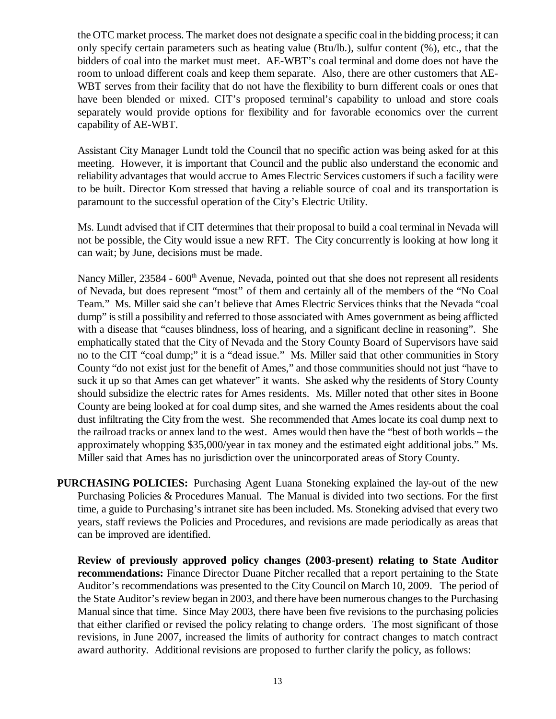the OTC market process. The market does not designate a specific coal in the bidding process; it can only specify certain parameters such as heating value (Btu/lb.), sulfur content (%), etc., that the bidders of coal into the market must meet. AE-WBT's coal terminal and dome does not have the room to unload different coals and keep them separate. Also, there are other customers that AE-WBT serves from their facility that do not have the flexibility to burn different coals or ones that have been blended or mixed. CIT's proposed terminal's capability to unload and store coals separately would provide options for flexibility and for favorable economics over the current capability of AE-WBT.

Assistant City Manager Lundt told the Council that no specific action was being asked for at this meeting. However, it is important that Council and the public also understand the economic and reliability advantages that would accrue to Ames Electric Services customers if such a facility were to be built. Director Kom stressed that having a reliable source of coal and its transportation is paramount to the successful operation of the City's Electric Utility.

Ms. Lundt advised that if CIT determines that their proposal to build a coal terminal in Nevada will not be possible, the City would issue a new RFT. The City concurrently is looking at how long it can wait; by June, decisions must be made.

Nancy Miller, 23584 - 600<sup>th</sup> Avenue, Nevada, pointed out that she does not represent all residents of Nevada, but does represent "most" of them and certainly all of the members of the "No Coal Team." Ms. Miller said she can't believe that Ames Electric Services thinks that the Nevada "coal dump" is still a possibility and referred to those associated with Ames government as being afflicted with a disease that "causes blindness, loss of hearing, and a significant decline in reasoning". She emphatically stated that the City of Nevada and the Story County Board of Supervisors have said no to the CIT "coal dump;" it is a "dead issue." Ms. Miller said that other communities in Story County "do not exist just for the benefit of Ames," and those communities should not just "have to suck it up so that Ames can get whatever" it wants. She asked why the residents of Story County should subsidize the electric rates for Ames residents. Ms. Miller noted that other sites in Boone County are being looked at for coal dump sites, and she warned the Ames residents about the coal dust infiltrating the City from the west. She recommended that Ames locate its coal dump next to the railroad tracks or annex land to the west. Ames would then have the "best of both worlds – the approximately whopping \$35,000/year in tax money and the estimated eight additional jobs." Ms. Miller said that Ames has no jurisdiction over the unincorporated areas of Story County.

**PURCHASING POLICIES:** Purchasing Agent Luana Stoneking explained the lay-out of the new Purchasing Policies & Procedures Manual. The Manual is divided into two sections. For the first time, a guide to Purchasing's intranet site has been included. Ms. Stoneking advised that every two years, staff reviews the Policies and Procedures, and revisions are made periodically as areas that can be improved are identified.

**Review of previously approved policy changes (2003-present) relating to State Auditor recommendations:** Finance Director Duane Pitcher recalled that a report pertaining to the State Auditor's recommendations was presented to the City Council on March 10, 2009. The period of the State Auditor's review began in 2003, and there have been numerous changes to the Purchasing Manual since that time. Since May 2003, there have been five revisions to the purchasing policies that either clarified or revised the policy relating to change orders. The most significant of those revisions, in June 2007, increased the limits of authority for contract changes to match contract award authority. Additional revisions are proposed to further clarify the policy, as follows: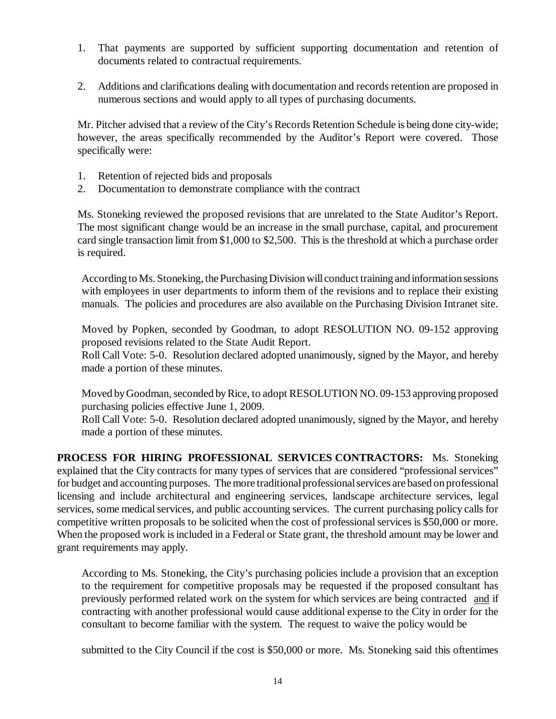- 1. That payments are supported by sufficient supporting documentation and retention of documents related to contractual requirements.
- 2. Additions and clarifications dealing with documentation and records retention are proposed in numerous sections and would apply to all types of purchasing documents.

Mr. Pitcher advised that a review of the City's Records Retention Schedule is being done city-wide; however, the areas specifically recommended by the Auditor's Report were covered. Those specifically were:

- 1. Retention of rejected bids and proposals
- 2. Documentation to demonstrate compliance with the contract

Ms. Stoneking reviewed the proposed revisions that are unrelated to the State Auditor's Report. The most significant change would be an increase in the small purchase, capital, and procurement card single transaction limit from \$1,000 to \$2,500. This is the threshold at which a purchase order is required.

According to Ms. Stoneking, the Purchasing Division will conduct training and information sessions with employees in user departments to inform them of the revisions and to replace their existing manuals. The policies and procedures are also available on the Purchasing Division Intranet site.

Moved by Popken, seconded by Goodman, to adopt RESOLUTION NO. 09-152 approving proposed revisions related to the State Audit Report.

Roll Call Vote: 5-0. Resolution declared adopted unanimously, signed by the Mayor, and hereby made a portion of these minutes.

Moved by Goodman, seconded by Rice, to adopt RESOLUTION NO. 09-153 approving proposed purchasing policies effective June 1, 2009.

Roll Call Vote: 5-0. Resolution declared adopted unanimously, signed by the Mayor, and hereby made a portion of these minutes.

**PROCESS FOR HIRING PROFESSIONAL SERVICES CONTRACTORS:** Ms. Stoneking explained that the City contracts for many types of services that are considered "professional services" for budget and accounting purposes. The more traditional professional services are based on professional licensing and include architectural and engineering services, landscape architecture services, legal services, some medical services, and public accounting services. The current purchasing policy calls for competitive written proposals to be solicited when the cost of professional services is \$50,000 or more. When the proposed work is included in a Federal or State grant, the threshold amount may be lower and grant requirements may apply.

According to Ms. Stoneking, the City's purchasing policies include a provision that an exception to the requirement for competitive proposals may be requested if the proposed consultant has previously performed related work on the system for which services are being contracted and if contracting with another professional would cause additional expense to the City in order for the consultant to become familiar with the system. The request to waive the policy would be

submitted to the City Council if the cost is \$50,000 or more. Ms. Stoneking said this oftentimes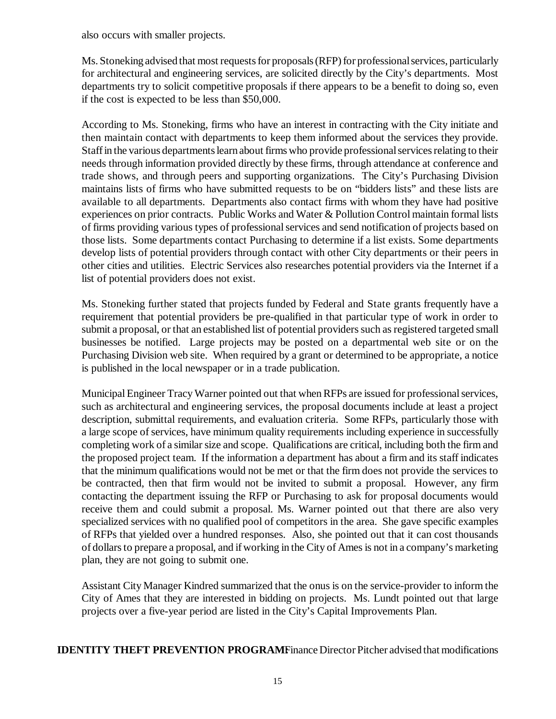also occurs with smaller projects.

Ms. Stoneking advised that most requests for proposals (RFP) for professional services, particularly for architectural and engineering services, are solicited directly by the City's departments. Most departments try to solicit competitive proposals if there appears to be a benefit to doing so, even if the cost is expected to be less than \$50,000.

According to Ms. Stoneking, firms who have an interest in contracting with the City initiate and then maintain contact with departments to keep them informed about the services they provide. Staff in the various departments learn about firms who provide professional services relating to their needs through information provided directly by these firms, through attendance at conference and trade shows, and through peers and supporting organizations. The City's Purchasing Division maintains lists of firms who have submitted requests to be on "bidders lists" and these lists are available to all departments. Departments also contact firms with whom they have had positive experiences on prior contracts. Public Works and Water & Pollution Control maintain formal lists of firms providing various types of professional services and send notification of projects based on those lists. Some departments contact Purchasing to determine if a list exists. Some departments develop lists of potential providers through contact with other City departments or their peers in other cities and utilities. Electric Services also researches potential providers via the Internet if a list of potential providers does not exist.

Ms. Stoneking further stated that projects funded by Federal and State grants frequently have a requirement that potential providers be pre-qualified in that particular type of work in order to submit a proposal, or that an established list of potential providers such as registered targeted small businesses be notified. Large projects may be posted on a departmental web site or on the Purchasing Division web site. When required by a grant or determined to be appropriate, a notice is published in the local newspaper or in a trade publication.

Municipal Engineer Tracy Warner pointed out that when RFPs are issued for professional services, such as architectural and engineering services, the proposal documents include at least a project description, submittal requirements, and evaluation criteria. Some RFPs, particularly those with a large scope of services, have minimum quality requirements including experience in successfully completing work of a similar size and scope. Qualifications are critical, including both the firm and the proposed project team. If the information a department has about a firm and its staff indicates that the minimum qualifications would not be met or that the firm does not provide the services to be contracted, then that firm would not be invited to submit a proposal. However, any firm contacting the department issuing the RFP or Purchasing to ask for proposal documents would receive them and could submit a proposal. Ms. Warner pointed out that there are also very specialized services with no qualified pool of competitors in the area. She gave specific examples of RFPs that yielded over a hundred responses. Also, she pointed out that it can cost thousands of dollars to prepare a proposal, and if working in the City of Ames is not in a company's marketing plan, they are not going to submit one.

Assistant City Manager Kindred summarized that the onus is on the service-provider to inform the City of Ames that they are interested in bidding on projects. Ms. Lundt pointed out that large projects over a five-year period are listed in the City's Capital Improvements Plan.

**IDENTITY THEFT PREVENTION PROGRAMF** inance Director Pitcher advised that modifications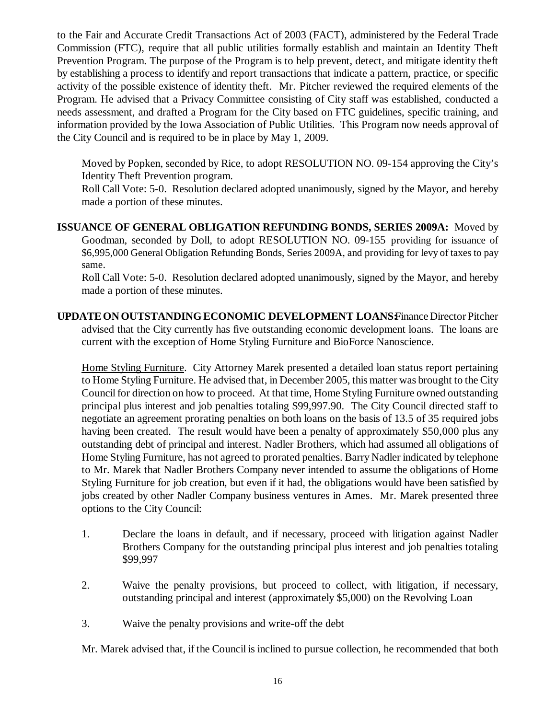to the Fair and Accurate Credit Transactions Act of 2003 (FACT), administered by the Federal Trade Commission (FTC), require that all public utilities formally establish and maintain an Identity Theft Prevention Program. The purpose of the Program is to help prevent, detect, and mitigate identity theft by establishing a process to identify and report transactions that indicate a pattern, practice, or specific activity of the possible existence of identity theft. Mr. Pitcher reviewed the required elements of the Program. He advised that a Privacy Committee consisting of City staff was established, conducted a needs assessment, and drafted a Program for the City based on FTC guidelines, specific training, and information provided by the Iowa Association of Public Utilities. This Program now needs approval of the City Council and is required to be in place by May 1, 2009.

Moved by Popken, seconded by Rice, to adopt RESOLUTION NO. 09-154 approving the City's Identity Theft Prevention program.

Roll Call Vote: 5-0. Resolution declared adopted unanimously, signed by the Mayor, and hereby made a portion of these minutes.

**ISSUANCE OF GENERAL OBLIGATION REFUNDING BONDS, SERIES 2009A:** Moved by Goodman, seconded by Doll, to adopt RESOLUTION NO. 09-155 providing for issuance of \$6,995,000 General Obligation Refunding Bonds, Series 2009A, and providing for levy of taxes to pay same.

Roll Call Vote: 5-0. Resolution declared adopted unanimously, signed by the Mayor, and hereby made a portion of these minutes.

**UPDATE ON OUTSTANDING ECONOMIC DEVELOPMENT LOANSFinance Director Pitcher** advised that the City currently has five outstanding economic development loans. The loans are current with the exception of Home Styling Furniture and BioForce Nanoscience.

Home Styling Furniture. City Attorney Marek presented a detailed loan status report pertaining to Home Styling Furniture. He advised that, in December 2005, this matter was brought to the City Council for direction on how to proceed. At that time, Home Styling Furniture owned outstanding principal plus interest and job penalties totaling \$99,997.90. The City Council directed staff to negotiate an agreement prorating penalties on both loans on the basis of 13.5 of 35 required jobs having been created. The result would have been a penalty of approximately \$50,000 plus any outstanding debt of principal and interest. Nadler Brothers, which had assumed all obligations of Home Styling Furniture, has not agreed to prorated penalties. Barry Nadler indicated by telephone to Mr. Marek that Nadler Brothers Company never intended to assume the obligations of Home Styling Furniture for job creation, but even if it had, the obligations would have been satisfied by jobs created by other Nadler Company business ventures in Ames. Mr. Marek presented three options to the City Council:

- 1. Declare the loans in default, and if necessary, proceed with litigation against Nadler Brothers Company for the outstanding principal plus interest and job penalties totaling \$99,997
- 2. Waive the penalty provisions, but proceed to collect, with litigation, if necessary, outstanding principal and interest (approximately \$5,000) on the Revolving Loan
- 3. Waive the penalty provisions and write-off the debt

Mr. Marek advised that, if the Council is inclined to pursue collection, he recommended that both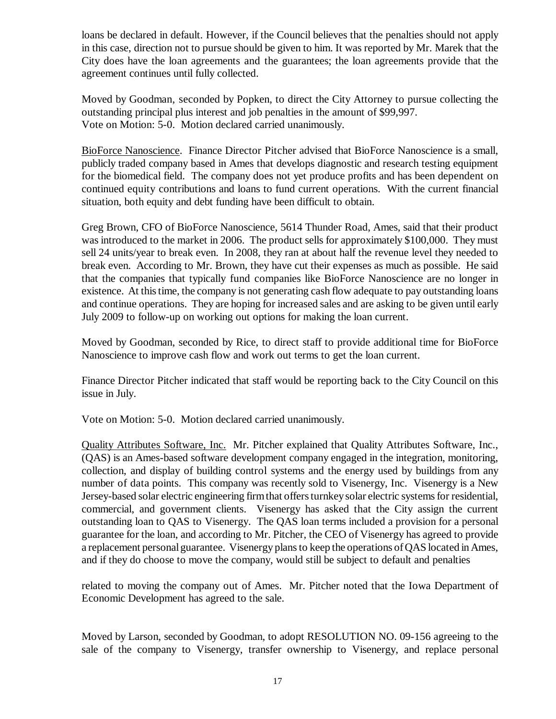loans be declared in default. However, if the Council believes that the penalties should not apply in this case, direction not to pursue should be given to him. It was reported by Mr. Marek that the City does have the loan agreements and the guarantees; the loan agreements provide that the agreement continues until fully collected.

Moved by Goodman, seconded by Popken, to direct the City Attorney to pursue collecting the outstanding principal plus interest and job penalties in the amount of \$99,997. Vote on Motion: 5-0. Motion declared carried unanimously.

BioForce Nanoscience. Finance Director Pitcher advised that BioForce Nanoscience is a small, publicly traded company based in Ames that develops diagnostic and research testing equipment for the biomedical field. The company does not yet produce profits and has been dependent on continued equity contributions and loans to fund current operations. With the current financial situation, both equity and debt funding have been difficult to obtain.

Greg Brown, CFO of BioForce Nanoscience, 5614 Thunder Road, Ames, said that their product was introduced to the market in 2006. The product sells for approximately \$100,000. They must sell 24 units/year to break even. In 2008, they ran at about half the revenue level they needed to break even. According to Mr. Brown, they have cut their expenses as much as possible. He said that the companies that typically fund companies like BioForce Nanoscience are no longer in existence. At this time, the company is not generating cash flow adequate to pay outstanding loans and continue operations. They are hoping for increased sales and are asking to be given until early July 2009 to follow-up on working out options for making the loan current.

Moved by Goodman, seconded by Rice, to direct staff to provide additional time for BioForce Nanoscience to improve cash flow and work out terms to get the loan current.

Finance Director Pitcher indicated that staff would be reporting back to the City Council on this issue in July.

Vote on Motion: 5-0. Motion declared carried unanimously.

Quality Attributes Software, Inc. Mr. Pitcher explained that Quality Attributes Software, Inc., (QAS) is an Ames-based software development company engaged in the integration, monitoring, collection, and display of building control systems and the energy used by buildings from any number of data points. This company was recently sold to Visenergy, Inc. Visenergy is a New Jersey-based solar electric engineering firm that offers turnkey solar electric systems for residential, commercial, and government clients. Visenergy has asked that the City assign the current outstanding loan to QAS to Visenergy. The QAS loan terms included a provision for a personal guarantee for the loan, and according to Mr. Pitcher, the CEO of Visenergy has agreed to provide a replacement personal guarantee. Visenergy plans to keep the operations of QAS located in Ames, and if they do choose to move the company, would still be subject to default and penalties

related to moving the company out of Ames. Mr. Pitcher noted that the Iowa Department of Economic Development has agreed to the sale.

Moved by Larson, seconded by Goodman, to adopt RESOLUTION NO. 09-156 agreeing to the sale of the company to Visenergy, transfer ownership to Visenergy, and replace personal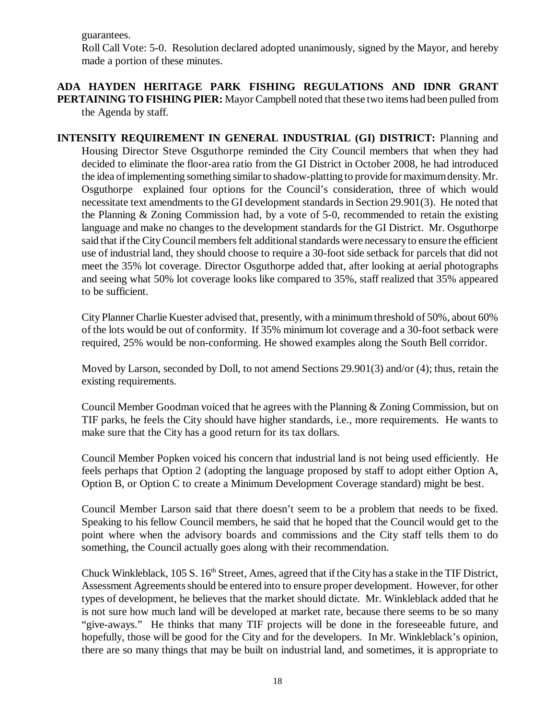guarantees.

Roll Call Vote: 5-0. Resolution declared adopted unanimously, signed by the Mayor, and hereby made a portion of these minutes.

**ADA HAYDEN HERITAGE PARK FISHING REGULATIONS AND IDNR GRANT PERTAINING TO FISHING PIER:** Mayor Campbell noted that these two items had been pulled from the Agenda by staff.

**INTENSITY REQUIREMENT IN GENERAL INDUSTRIAL (GI) DISTRICT:** Planning and Housing Director Steve Osguthorpe reminded the City Council members that when they had decided to eliminate the floor-area ratio from the GI District in October 2008, he had introduced the idea of implementing something similar to shadow-platting to provide for maximum density. Mr. Osguthorpe explained four options for the Council's consideration, three of which would necessitate text amendments to the GI development standards in Section 29.901(3). He noted that the Planning & Zoning Commission had, by a vote of 5-0, recommended to retain the existing language and make no changes to the development standards for the GI District. Mr. Osguthorpe said that if the City Council members felt additional standards were necessary to ensure the efficient use of industrial land, they should choose to require a 30-foot side setback for parcels that did not meet the 35% lot coverage. Director Osguthorpe added that, after looking at aerial photographs and seeing what 50% lot coverage looks like compared to 35%, staff realized that 35% appeared to be sufficient.

City Planner Charlie Kuester advised that, presently, with a minimum threshold of 50%, about 60% of the lots would be out of conformity. If 35% minimum lot coverage and a 30-foot setback were required, 25% would be non-conforming. He showed examples along the South Bell corridor.

 Moved by Larson, seconded by Doll, to not amend Sections 29.901(3) and/or (4); thus, retain the existing requirements.

Council Member Goodman voiced that he agrees with the Planning & Zoning Commission, but on TIF parks, he feels the City should have higher standards, i.e., more requirements. He wants to make sure that the City has a good return for its tax dollars.

Council Member Popken voiced his concern that industrial land is not being used efficiently. He feels perhaps that Option 2 (adopting the language proposed by staff to adopt either Option A, Option B, or Option C to create a Minimum Development Coverage standard) might be best.

Council Member Larson said that there doesn't seem to be a problem that needs to be fixed. Speaking to his fellow Council members, he said that he hoped that the Council would get to the point where when the advisory boards and commissions and the City staff tells them to do something, the Council actually goes along with their recommendation.

Chuck Winkleblack,  $105 S$ .  $16<sup>th</sup>$  Street, Ames, agreed that if the City has a stake in the TIF District, Assessment Agreements should be entered into to ensure proper development. However, for other types of development, he believes that the market should dictate. Mr. Winkleblack added that he is not sure how much land will be developed at market rate, because there seems to be so many "give-aways." He thinks that many TIF projects will be done in the foreseeable future, and hopefully, those will be good for the City and for the developers. In Mr. Winkleblack's opinion, there are so many things that may be built on industrial land, and sometimes, it is appropriate to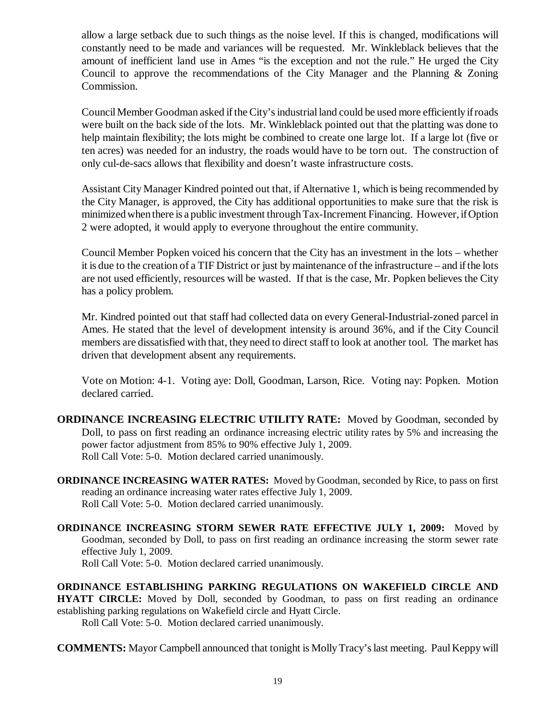allow a large setback due to such things as the noise level. If this is changed, modifications will constantly need to be made and variances will be requested. Mr. Winkleblack believes that the amount of inefficient land use in Ames "is the exception and not the rule." He urged the City Council to approve the recommendations of the City Manager and the Planning & Zoning Commission.

Council Member Goodman asked if the City's industrial land could be used more efficiently if roads were built on the back side of the lots. Mr. Winkleblack pointed out that the platting was done to help maintain flexibility; the lots might be combined to create one large lot. If a large lot (five or ten acres) was needed for an industry, the roads would have to be torn out. The construction of only cul-de-sacs allows that flexibility and doesn't waste infrastructure costs.

Assistant City Manager Kindred pointed out that, if Alternative 1, which is being recommended by the City Manager, is approved, the City has additional opportunities to make sure that the risk is minimized when there is a public investment through Tax-Increment Financing. However, if Option 2 were adopted, it would apply to everyone throughout the entire community.

Council Member Popken voiced his concern that the City has an investment in the lots – whether it is due to the creation of a TIF District or just by maintenance of the infrastructure – and if the lots are not used efficiently, resources will be wasted. If that is the case, Mr. Popken believes the City has a policy problem.

Mr. Kindred pointed out that staff had collected data on every General-Industrial-zoned parcel in Ames. He stated that the level of development intensity is around 36%, and if the City Council members are dissatisfied with that, they need to direct staff to look at another tool. The market has driven that development absent any requirements.

Vote on Motion: 4-1. Voting aye: Doll, Goodman, Larson, Rice. Voting nay: Popken. Motion declared carried.

- **ORDINANCE INCREASING ELECTRIC UTILITY RATE:** Moved by Goodman, seconded by Doll, to pass on first reading an ordinance increasing electric utility rates by 5% and increasing the power factor adjustment from 85% to 90% effective July 1, 2009. Roll Call Vote: 5-0. Motion declared carried unanimously.
- **ORDINANCE INCREASING WATER RATES:** Moved by Goodman, seconded by Rice, to pass on first reading an ordinance increasing water rates effective July 1, 2009. Roll Call Vote: 5-0. Motion declared carried unanimously.

**ORDINANCE INCREASING STORM SEWER RATE EFFECTIVE JULY 1, 2009:** Moved by Goodman, seconded by Doll, to pass on first reading an ordinance increasing the storm sewer rate effective July 1, 2009. Roll Call Vote: 5-0. Motion declared carried unanimously.

**ORDINANCE ESTABLISHING PARKING REGULATIONS ON WAKEFIELD CIRCLE AND HYATT CIRCLE:** Moved by Doll, seconded by Goodman, to pass on first reading an ordinance establishing parking regulations on Wakefield circle and Hyatt Circle. Roll Call Vote: 5-0. Motion declared carried unanimously.

**COMMENTS:** Mayor Campbell announced that tonight is Molly Tracy's last meeting. Paul Keppy will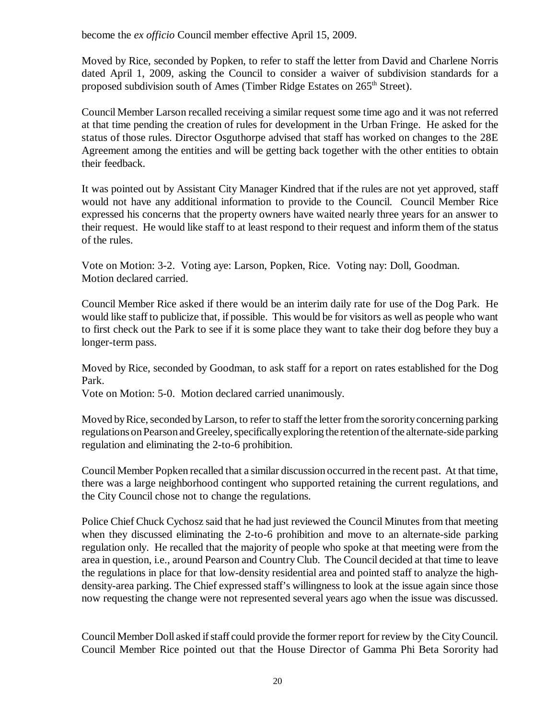become the *ex officio* Council member effective April 15, 2009.

Moved by Rice, seconded by Popken, to refer to staff the letter from David and Charlene Norris dated April 1, 2009, asking the Council to consider a waiver of subdivision standards for a proposed subdivision south of Ames (Timber Ridge Estates on 265<sup>th</sup> Street).

Council Member Larson recalled receiving a similar request some time ago and it was not referred at that time pending the creation of rules for development in the Urban Fringe. He asked for the status of those rules. Director Osguthorpe advised that staff has worked on changes to the 28E Agreement among the entities and will be getting back together with the other entities to obtain their feedback.

It was pointed out by Assistant City Manager Kindred that if the rules are not yet approved, staff would not have any additional information to provide to the Council. Council Member Rice expressed his concerns that the property owners have waited nearly three years for an answer to their request. He would like staff to at least respond to their request and inform them of the status of the rules.

Vote on Motion: 3-2. Voting aye: Larson, Popken, Rice. Voting nay: Doll, Goodman. Motion declared carried.

Council Member Rice asked if there would be an interim daily rate for use of the Dog Park. He would like staff to publicize that, if possible. This would be for visitors as well as people who want to first check out the Park to see if it is some place they want to take their dog before they buy a longer-term pass.

Moved by Rice, seconded by Goodman, to ask staff for a report on rates established for the Dog Park.

Vote on Motion: 5-0. Motion declared carried unanimously.

Moved by Rice, seconded by Larson, to refer to staff the letter from the sorority concerning parking regulations on Pearson and Greeley, specifically exploring the retention of the alternate-side parking regulation and eliminating the 2-to-6 prohibition.

Council Member Popken recalled that a similar discussion occurred in the recent past. At that time, there was a large neighborhood contingent who supported retaining the current regulations, and the City Council chose not to change the regulations.

Police Chief Chuck Cychosz said that he had just reviewed the Council Minutes from that meeting when they discussed eliminating the 2-to-6 prohibition and move to an alternate-side parking regulation only. He recalled that the majority of people who spoke at that meeting were from the area in question, i.e., around Pearson and Country Club. The Council decided at that time to leave the regulations in place for that low-density residential area and pointed staff to analyze the highdensity-area parking. The Chief expressed staff's willingness to look at the issue again since those now requesting the change were not represented several years ago when the issue was discussed.

Council Member Doll asked if staff could provide the former report for review by the City Council. Council Member Rice pointed out that the House Director of Gamma Phi Beta Sorority had